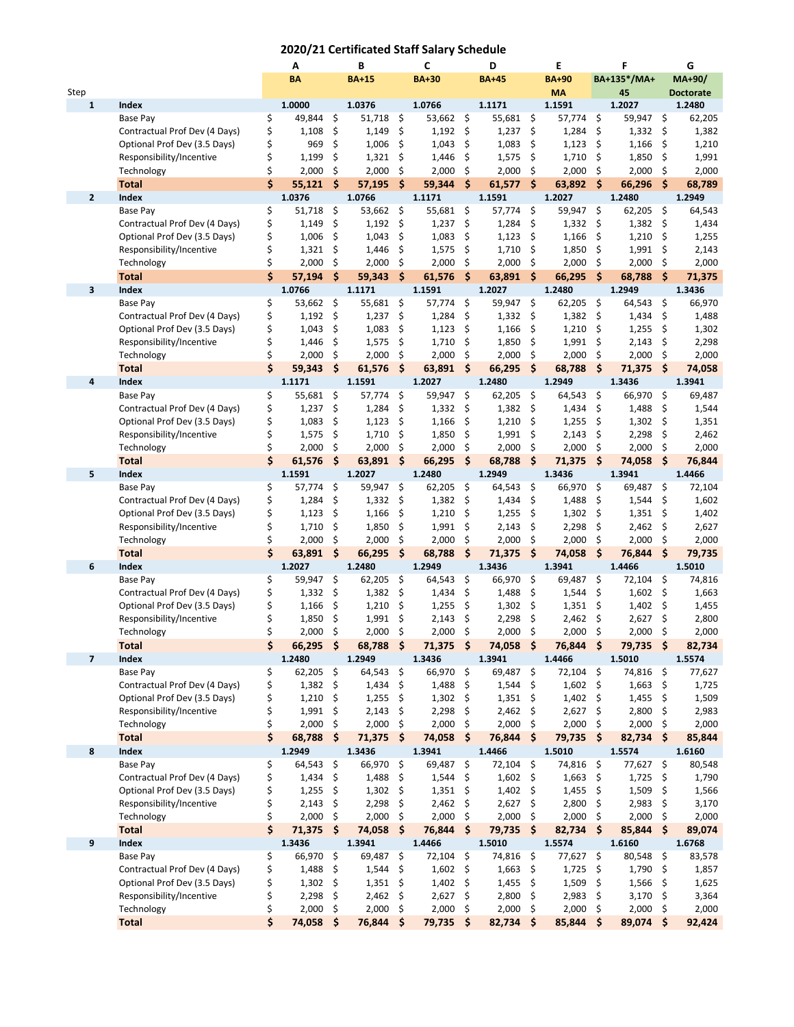## **2020/21 Certificated Staff Salary Schedule**

|              |                                                  |          | Α                |                     | B                |      | C                |                           | D                |                    | E                    |                           | F                |                    | G                |
|--------------|--------------------------------------------------|----------|------------------|---------------------|------------------|------|------------------|---------------------------|------------------|--------------------|----------------------|---------------------------|------------------|--------------------|------------------|
|              |                                                  |          | <b>BA</b>        |                     | <b>BA+15</b>     |      | <b>BA+30</b>     |                           | <b>BA+45</b>     |                    | <b>BA+90</b>         |                           | BA+135*/MA+      |                    | MA+90/           |
| Step         |                                                  |          |                  |                     |                  |      |                  |                           |                  |                    | <b>MA</b>            |                           | 45               |                    | <b>Doctorate</b> |
| 1            | Index                                            |          | 1.0000           |                     | 1.0376           |      | 1.0766           |                           | 1.1171           |                    | 1.1591               |                           | 1.2027           |                    | 1.2480           |
|              | Base Pay                                         | \$       | 49,844           | \$                  | 51,718           | \$   | 53,662 \$        |                           | 55,681           | \$                 | 57,774 \$            |                           | 59,947           | \$                 | 62,205           |
|              | Contractual Prof Dev (4 Days)                    | \$       | 1,108            | \$                  | 1,149            | \$   | 1,192            | \$                        | 1,237            | \$                 | 1,284                | \$                        | 1,332            | \$                 | 1,382            |
|              | Optional Prof Dev (3.5 Days)                     | \$       | 969              | \$                  | 1,006            | \$   | 1,043            | \$                        | 1,083            | \$                 | 1,123                | \$                        | 1,166            | \$                 | 1,210            |
|              | Responsibility/Incentive                         | \$       | 1,199            | \$                  | 1,321            | \$   | 1,446            | \$                        | 1,575            | \$                 | 1,710                | \$                        | 1,850            | \$                 | 1,991            |
|              | Technology                                       | \$       | 2,000            | \$                  | 2,000            | \$   | 2,000            | \$                        | 2,000            | \$                 | 2,000                | \$                        | 2,000            | \$                 | 2,000            |
|              | <b>Total</b>                                     | Ś.       | 55,121           | \$                  | 57,195           | \$   | 59,344           | $\ddot{\bm{\zeta}}$       | 61,577           | $\frac{1}{2}$      | 63,892 \$            |                           | 66,296           | $\mathsf{\hat{S}}$ | 68,789           |
| $\mathbf{2}$ | Index                                            |          | 1.0376           |                     | 1.0766           |      | 1.1171           |                           | 1.1591           |                    | 1.2027               |                           | 1.2480           |                    | 1.2949           |
|              | Base Pay                                         | \$       | 51,718           | - \$                | 53,662           | \$   | 55,681 \$        |                           | 57,774           | \$                 | 59,947 \$            |                           | 62,205           | \$                 | 64,543           |
|              | Contractual Prof Dev (4 Days)                    | \$       | 1,149            | \$                  | 1,192            | \$   | 1,237            | \$                        | 1,284            | \$                 | $1,332$ \$           |                           | 1,382            | \$                 | 1,434            |
|              | Optional Prof Dev (3.5 Days)                     | \$       | 1,006            | \$                  | 1,043            | \$   | 1,083            | \$                        | 1,123            | \$                 | 1,166                | \$                        | 1,210            | \$                 | 1,255            |
|              | Responsibility/Incentive                         | \$       | 1,321            | \$                  | 1,446            | \$   | 1,575            | \$                        | 1,710            | \$                 | 1,850                | \$                        | 1,991            | \$                 | 2,143            |
|              | Technology                                       | \$<br>\$ | 2,000            | \$<br>\$            | 2,000<br>59,343  | \$   | 2,000            | \$<br>$\ddot{\bm{\zeta}}$ | 2,000            | \$<br><b>S</b>     | 2,000                | \$<br>$\ddot{\bm{\zeta}}$ | 2,000            | \$                 | 2,000            |
| 3            | <b>Total</b><br>Index                            |          | 57,194<br>1.0766 |                     | 1.1171           | \$   | 61,576<br>1.1591 |                           | 63,891<br>1.2027 |                    | 66,295<br>1.2480     |                           | 68,788<br>1.2949 | \$                 | 71,375<br>1.3436 |
|              | Base Pay                                         | \$       | 53,662           | \$                  | 55,681           | \$   | 57,774           | \$                        | 59,947           | \$                 | 62,205               | \$                        | 64,543           | \$                 | 66,970           |
|              | Contractual Prof Dev (4 Days)                    | \$       | 1,192            | \$                  | 1,237            | \$   | 1,284            | - \$                      | 1,332            | \$                 | 1,382                | - \$                      | 1,434            | \$                 | 1,488            |
|              | Optional Prof Dev (3.5 Days)                     | \$       | 1,043            | \$                  | 1,083            | \$   | 1,123            | \$                        | 1,166            | \$                 | 1,210                | \$                        | 1,255            | \$                 | 1,302            |
|              | Responsibility/Incentive                         | \$       | 1,446            | \$                  | 1,575            | \$   | 1,710            | \$                        | 1,850            | \$                 | 1,991                | \$                        | 2,143            | \$                 | 2,298            |
|              | Technology                                       | \$       | 2,000            | \$                  | 2,000            | \$   | 2,000            | \$                        | 2,000            | \$                 | 2,000                | \$                        | 2,000            | \$                 | 2,000            |
|              | <b>Total</b>                                     | \$       | 59,343           | \$                  | 61,576           | \$   | 63,891           | -\$                       | 66,295           | \$                 | 68,788               | $\ddot{\bm{\zeta}}$       | 71,375           | \$                 | 74,058           |
| 4            | Index                                            |          | 1.1171           |                     | 1.1591           |      | 1.2027           |                           | 1.2480           |                    | 1.2949               |                           | 1.3436           |                    | 1.3941           |
|              | Base Pay                                         | \$       | 55,681           | \$                  | 57,774           | \$   | 59,947           | \$                        | 62,205           | \$                 | 64,543               | \$                        | 66,970           | \$                 | 69,487           |
|              | Contractual Prof Dev (4 Days)                    | \$       | 1,237            | \$                  | 1,284            | \$   | 1,332            | \$                        | 1,382            | \$                 | 1,434                | \$                        | 1,488            | \$                 | 1,544            |
|              | Optional Prof Dev (3.5 Days)                     | \$       | 1,083            | \$                  | 1,123            | \$   | 1,166            | \$                        | 1,210            | \$                 | 1,255                | \$                        | 1,302            | \$                 | 1,351            |
|              | Responsibility/Incentive                         | \$       | 1,575            | \$                  | 1,710            | \$   | 1,850            | \$                        | 1,991            | \$                 | 2,143                | \$                        | 2,298            | \$                 | 2,462            |
|              | Technology                                       | \$       | 2,000            | \$                  | 2,000            | \$   | 2,000            | \$                        | 2,000            | \$                 | 2,000                | \$                        | 2,000            | \$                 | 2,000            |
|              | <b>Total</b>                                     | \$       | 61,576           | \$                  | 63,891           | \$   | 66,295           | $\ddot{\bm{\zeta}}$       | 68,788           | \$                 | 71,375               | $\dot{\mathsf{s}}$        | 74,058           | \$                 | 76,844           |
| 5            | Index                                            |          | 1.1591           |                     | 1.2027           |      | 1.2480           |                           | 1.2949           |                    | 1.3436               |                           | 1.3941           |                    | 1.4466           |
|              | Base Pay                                         | \$       | 57,774           | \$                  | 59,947           | \$   | 62,205           | \$                        | 64,543           | \$                 | 66,970               | \$                        | 69,487           | \$                 | 72,104           |
|              | Contractual Prof Dev (4 Days)                    | \$       | 1,284            | \$                  | 1,332            | \$   | 1,382            | \$                        | 1,434            | \$                 | 1,488                | \$                        | 1,544            | \$                 | 1,602            |
|              | Optional Prof Dev (3.5 Days)                     | \$       | 1,123            | \$                  | 1,166            | \$   | 1,210            | \$                        | 1,255            | \$                 | 1,302                | \$                        | 1,351            | \$                 | 1,402            |
|              | Responsibility/Incentive                         | \$       | 1,710            | \$                  | 1,850            | \$   | 1,991            | \$                        | 2,143            | \$                 | 2,298                | \$                        | 2,462            | \$                 | 2,627            |
|              | Technology                                       | \$       | 2,000            | \$                  | 2,000            | \$   | 2,000            | \$                        | 2,000            | \$                 | 2,000                | \$                        | 2,000            | \$                 | 2,000            |
|              | <b>Total</b>                                     | \$       | 63,891           | \$                  | 66,295           | \$   | 68,788           | \$                        | 71,375           | \$                 | 74,058               | $\ddot{\bm{\zeta}}$       | 76,844           | \$                 | 79,735           |
| 6            | Index                                            |          | 1.2027           |                     | 1.2480           |      | 1.2949           |                           | 1.3436           |                    | 1.3941               |                           | 1.4466           |                    | 1.5010           |
|              | Base Pay                                         | \$       | 59,947           | \$                  | 62,205           | \$   | 64,543           | \$                        | 66,970           | \$                 | 69,487               | $\zeta$                   | 72,104           | \$                 | 74,816           |
|              | Contractual Prof Dev (4 Days)                    | \$       | 1,332            | \$                  | 1,382            | \$   | 1,434            | \$                        | 1,488            | \$                 | 1,544                | \$                        | 1,602            | \$                 | 1,663            |
|              | Optional Prof Dev (3.5 Days)                     | \$       | 1,166            | \$                  | 1,210            | \$   | 1,255            | \$                        | 1,302            | \$                 | 1,351                | \$                        | 1,402            | \$                 | 1,455            |
|              | Responsibility/Incentive                         | \$       | 1,850            | \$                  | 1,991            | \$   | 2,143            | \$                        | 2,298            | \$                 | 2,462                | \$                        | 2,627            | \$                 | 2,800            |
|              | Technology                                       | \$       | 2,000            | \$                  | 2,000            | \$   | 2,000            | \$                        | 2,000            | \$                 | 2,000                | \$                        | 2,000            | \$                 | 2,000            |
|              | <b>Total</b>                                     | Ş        | 66,295           | -Ş                  | 68,788           | -S   | 71,375           | -S                        | 74,058           | -S                 | 76,844               | -S                        | 79,735 \$        |                    | 82,734           |
| 7            | Index                                            | \$       | 1.2480           | $\ddot{\mathsf{s}}$ | 1.2949<br>64,543 | \$   | 1.3436<br>66,970 | \$                        | 1.3941<br>69,487 | \$                 | 1.4466               | $\ddot{\mathsf{S}}$       | 1.5010<br>74,816 | \$                 | 1.5574           |
|              | <b>Base Pay</b><br>Contractual Prof Dev (4 Days) | \$       | 62,205<br>1,382  | - \$                | 1,434            | \$   | 1,488            | - \$                      | 1,544            | \$                 | 72,104<br>$1,602$ \$ |                           | 1,663            | \$                 | 77,627<br>1,725  |
|              | Optional Prof Dev (3.5 Days)                     | \$       | 1,210            | \$                  | 1,255            | \$   | $1,302$ \$       |                           | 1,351            | \$                 | $1,402$ \$           |                           | 1,455            | \$                 | 1,509            |
|              | Responsibility/Incentive                         | \$       | 1,991            | \$                  | 2,143            | \$   | 2,298            | \$                        | 2,462            | \$                 | 2,627                | \$                        | 2,800            | \$                 | 2,983            |
|              | Technology                                       | \$       | 2,000            | - \$                | 2,000            | \$   | 2,000            | - \$                      | 2,000            | \$                 | 2,000                | - \$                      | 2,000            | \$                 | 2,000            |
|              | <b>Total</b>                                     | \$       | 68,788           | \$                  | 71,375           | Ŝ.   | 74,058           | $\dot{\mathsf{s}}$        | 76,844           | \$.                | 79,735 \$            |                           | 82,734           | '\$                | 85,844           |
| 8            | Index                                            |          | 1.2949           |                     | 1.3436           |      | 1.3941           |                           | 1.4466           |                    | 1.5010               |                           | 1.5574           |                    | 1.6160           |
|              | Base Pay                                         | \$       | 64,543           | \$                  | 66,970           | \$   | 69,487           | - \$                      | 72,104           | \$                 | 74,816 \$            |                           | 77,627           | \$                 | 80,548           |
|              | Contractual Prof Dev (4 Days)                    | \$       | 1,434            | - \$                | 1,488            | \$   | 1,544            | - \$                      | 1,602            | \$                 | $1,663$ \$           |                           | 1,725            | \$                 | 1,790            |
|              | Optional Prof Dev (3.5 Days)                     | \$       | 1,255            | \$                  | 1,302            | \$   | 1,351            | - \$                      | 1,402            | \$                 | 1,455                | \$                        | 1,509            | \$                 | 1,566            |
|              | Responsibility/Incentive                         | \$       | 2,143            | \$                  | 2,298            | \$   | 2,462            | \$                        | 2,627            | \$                 | 2,800                | \$                        | 2,983            | \$                 | 3,170            |
|              | Technology                                       | \$       | 2,000            | - \$                | 2,000            | \$   | 2,000            | - \$                      | 2,000            | \$                 | 2,000                | \$                        | 2,000            | \$                 | 2,000            |
|              | <b>Total</b>                                     | \$       | 71,375           | $\ddot{\bm{\zeta}}$ | 74,058           | Ŝ.   | 76,844           | $\ddot{\bm{s}}$           | 79,735           | $\dot{\mathsf{s}}$ | $82,734$ \$          |                           | 85,844           | $\mathsf{\hat{S}}$ | 89,074           |
| 9            | Index                                            |          | 1.3436           |                     | 1.3941           |      | 1.4466           |                           | 1.5010           |                    | 1.5574               |                           | 1.6160           |                    | 1.6768           |
|              | Base Pay                                         | \$       | 66,970 \$        |                     | 69,487           | \$   | 72,104 \$        |                           | 74,816           | \$                 | 77,627 \$            |                           | 80,548           | - \$               | 83,578           |
|              | Contractual Prof Dev (4 Days)                    | \$       | $1,488$ \$       |                     | 1,544            | \$   | $1,602$ \$       |                           | 1,663            | \$                 | $1,725$ \$           |                           | 1,790            | \$                 | 1,857            |
|              | Optional Prof Dev (3.5 Days)                     | \$       | 1,302            | \$                  | 1,351            | \$   | 1,402            | \$                        | 1,455            | \$                 | 1,509                | \$                        | 1,566            | \$                 | 1,625            |
|              | Responsibility/Incentive                         | \$       | 2,298            | - \$                | 2,462            | \$   | $2,627$ \$       |                           | 2,800            | \$                 | 2,983 \$             |                           | 3,170            | -\$                | 3,364            |
|              | Technology                                       | \$       | 2,000            | \$                  | 2,000            | \$   | 2,000            | \$                        | 2,000            | \$                 | 2,000                | \$                        | 2,000            | \$                 | 2,000            |
|              | <b>Total</b>                                     | \$       | 74,058           | - \$                | 76,844           | - \$ | 79,735 \$        |                           | 82,734           | - \$               | 85,844               | - \$                      | 89,074 \$        |                    | 92,424           |